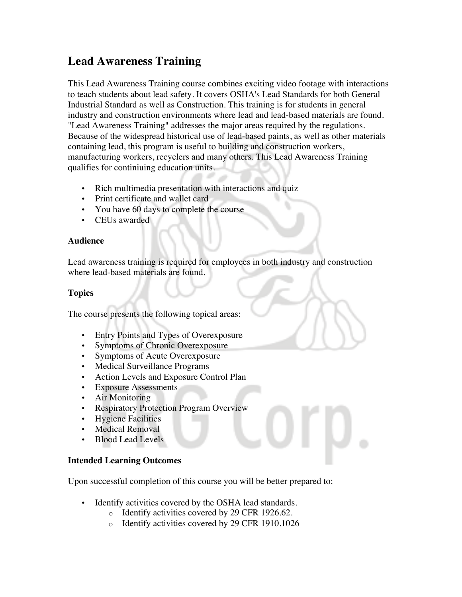# **Lead Awareness Training**

This Lead Awareness Training course combines exciting video footage with interactions to teach students about lead safety. It covers OSHA's Lead Standards for both General Industrial Standard as well as Construction. This training is for students in general industry and construction environments where lead and lead-based materials are found. "Lead Awareness Training" addresses the major areas required by the regulations. Because of the widespread historical use of lead-based paints, as well as other materials containing lead, this program is useful to building and construction workers, manufacturing workers, recyclers and many others. This Lead Awareness Training qualifies for continiuing education units.

- Rich multimedia presentation with interactions and quiz
- Print certificate and wallet card
- You have 60 days to complete the course
- CEUs awarded

#### **Audience**

Lead awareness training is required for employees in both industry and construction where lead-based materials are found.

## **Topics**

The course presents the following topical areas:

- Entry Points and Types of Overexposure
- Symptoms of Chronic Overexposure
- Symptoms of Acute Overexposure
- Medical Surveillance Programs
- Action Levels and Exposure Control Plan
- Exposure Assessments
- Air Monitoring
- Respiratory Protection Program Overview
- Hygiene Facilities
- Medical Removal
- Blood Lead Levels

### **Intended Learning Outcomes**

Upon successful completion of this course you will be better prepared to:

- Identify activities covered by the OSHA lead standards.
	- o Identify activities covered by 29 CFR 1926.62.
	- o Identify activities covered by 29 CFR 1910.1026